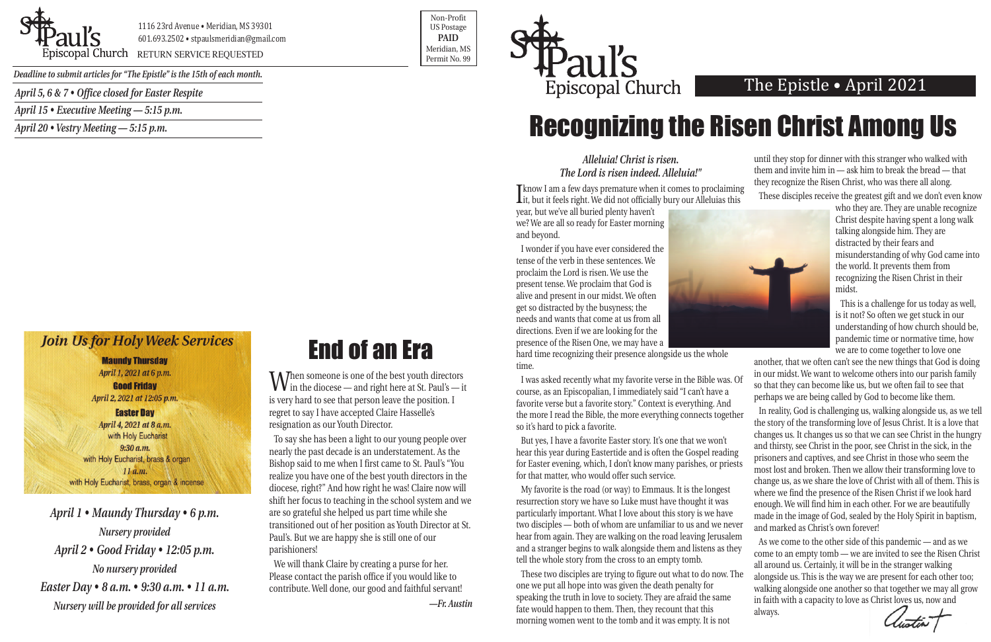

1116 23rd Avenue • Meridian, MS 39301 601.693.2502 • stpaulsmeridian@gmail.com

Piscopal Church RETURN SERVICE REQUESTED **Exercises** and the permit No. 99

Non-Profit US Postage **PAID** Meridian, MS



*Deadline to submit articles for "The Epistle" is the 15th of each month.* 

## The Epistle • April 2021

*April 1 • Maundy Thursday • 6 p.m. Nursery provided April 2 • Good Friday • 12:05 p.m. No nursery provided Easter Day • 8 a.m. • 9:30 a.m. • 11 a.m. Nursery will be provided for all services*

#### *Alleluia! Christ is risen. The Lord is risen indeed. Alleluia!"*

**I** know I am a rew days premature when it comes to proclaiming it, but it feels right. We did not officially bury our Alleluias this Tknow I am a few days premature when it comes to proclaiming

year, but we've all buried plenty haven't we? We are all so ready for Easter morning and beyond.

I wonder if you have ever considered the tense of the verb in these sentences. We proclaim the Lord is risen. We use the present tense. We proclaim that God is alive and present in our midst. We often get so distracted by the busyness; the needs and wants that come at us from all directions. Even if we are looking for the presence of the Risen One, we may have a



hard time recognizing their presence alongside us the whole time.

I was asked recently what my favorite verse in the Bible was. Of course, as an Episcopalian, I immediately said "I can't have a favorite verse but a favorite story." Context is everything. And the more I read the Bible, the more everything connects together so it's hard to pick a favorite.

But yes, I have a favorite Easter story. It's one that we won't hear this year during Eastertide and is often the Gospel reading for Easter evening, which, I don't know many parishes, or priests for that matter, who would offer such service.

My favorite is the road (or way) to Emmaus. It is the longest resurrection story we have so Luke must have thought it was particularly important. What I love about this story is we have two disciples — both of whom are unfamiliar to us and we never hear from again. They are walking on the road leaving Jerusalem and a stranger begins to walk alongside them and listens as they tell the whole story from the cross to an empty tomb.

These two disciples are trying to figure out what to do now. The one we put all hope into was given the death penalty for speaking the truth in love to society. They are afraid the same fate would happen to them. Then, they recount that this morning women went to the tomb and it was empty. It is not

When someone is one of the best youth directors<br>in the diocese — and right here at St. Paul's — it is very hard to see that person leave the position. I regret to say I have accepted Claire Hasselle's resignation as our Youth Director.

until they stop for dinner with this stranger who walked with them and invite him in — ask him to break the bread — that they recognize the Risen Christ, who was there all along.





who they are. They are unable recognize Christ despite having spent a long walk talking alongside him. They are distracted by their fears and misunderstanding of why God came into the world. It prevents them from recognizing the Risen Christ in their midst.

This is a challenge for us today as well, is it not? So often we get stuck in our understanding of how church should be, pandemic time or normative time, how we are to come together to love one

another, that we often can't see the new things that God is doing in our midst. We want to welcome others into our parish family so that they can become like us, but we often fail to see that perhaps we are being called by God to become like them.

In reality, God is challenging us, walking alongside us, as we tell the story of the transforming love of Jesus Christ. It is a love that changes us. It changes us so that we can see Christ in the hungry and thirsty, see Christ in the poor, see Christ in the sick, in the prisoners and captives, and see Christ in those who seem the most lost and broken. Then we allow their transforming love to change us, as we share the love of Christ with all of them. This is where we find the presence of the Risen Christ if we look hard enough. We will find him in each other. For we are beautifully made in the image of God, sealed by the Holy Spirit in baptism, and marked as Christ's own forever!

As we come to the other side of this pandemic — and as we come to an empty tomb — we are invited to see the Risen Christ all around us. Certainly, it will be in the stranger walking alongside us. This is the way we are present for each other too; walking alongside one another so that together we may all grow in faith with a capacity to love as Christ loves us, now and always.

# End of an Era

To say she has been a light to our young people over nearly the past decade is an understatement. As the Bishop said to me when I first came to St. Paul's "You realize you have one of the best youth directors in the diocese, right?" And how right he was! Claire now will shift her focus to teaching in the school system and we are so grateful she helped us part time while she transitioned out of her position as Youth Director at St. Paul's. But we are happy she is still one of our parishioners!

We will thank Claire by creating a purse for her. Please contact the parish office if you would like to contribute. Well done, our good and faithful servant!

*—Fr. Austin*

# Recognizing the Risen Christ Among Us

*April 5, 6 & 7 • Office closed for Easter Respite*

*April 15 • Executive Meeting — 5:15 p.m.*

*April 20 • Vestry Meeting — 5:15 p.m.*

### **Join Us for Holy Week Services**

#### **Maundy Thursday**

April 1, 2021 at 6 p.m. **Good Friday** 

April 2, 2021 at 12:05 p.m.

#### **Easter Day**

April 4, 2021 at 8 a.m. with Holy Eucharist  $9:30 a.m.$ with Holy Eucharist, brass & organ  $11a.m.$ with Holy Eucharist, brass, organ & incense